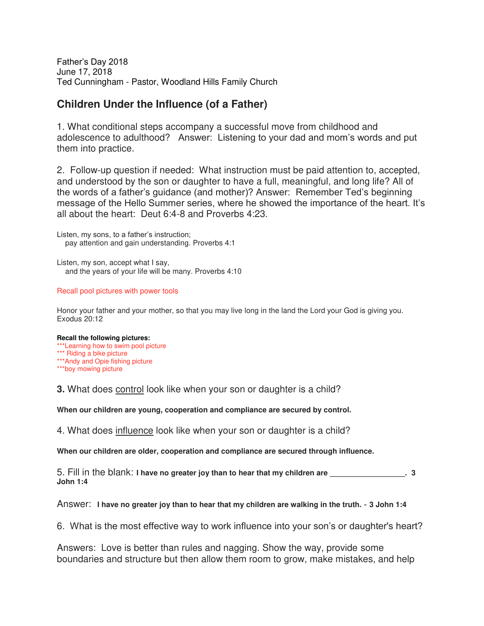Father's Day 2018 June 17, 2018 Ted Cunningham - Pastor, Woodland Hills Family Church

### **Children Under the Influence (of a Father)**

1. What conditional steps accompany a successful move from childhood and adolescence to adulthood? Answer: Listening to your dad and mom's words and put them into practice.

2. Follow-up question if needed: What instruction must be paid attention to, accepted, and understood by the son or daughter to have a full, meaningful, and long life? All of the words of a father's guidance (and mother)? Answer: Remember Ted's beginning message of the Hello Summer series, where he showed the importance of the heart. It's all about the heart: Deut 6:4-8 and Proverbs 4:23.

Listen, my sons, to a father's instruction; pay attention and gain understanding. Proverbs 4:1

Listen, my son, accept what I say, and the years of your life will be many. Proverbs 4:10

#### Recall pool pictures with power tools

Honor your father and your mother, so that you may live long in the land the Lord your God is giving you. Exodus 20:12

### **Recall the following pictures:**

\*\*\*Learning how to swim pool picture \*\*\* Riding a bike picture \*\*\*Andy and Opie fishing picture \*\*\*boy mowing picture

**3.** What does control look like when your son or daughter is a child?

**When our children are young, cooperation and compliance are secured by control.**

4. What does influence look like when your son or daughter is a child?

**When our children are older, cooperation and compliance are secured through influence.** 

5. Fill in the blank: **I have no greater joy than to hear that my children are \_\_\_\_\_\_\_\_\_\_\_\_\_\_\_\_\_\_. 3 John 1:4**

Answer: **I have no greater joy than to hear that my children are walking in the truth.** - **3 John 1:4**

6. What is the most effective way to work influence into your son's or daughter's heart?

Answers: Love is better than rules and nagging. Show the way, provide some boundaries and structure but then allow them room to grow, make mistakes, and help